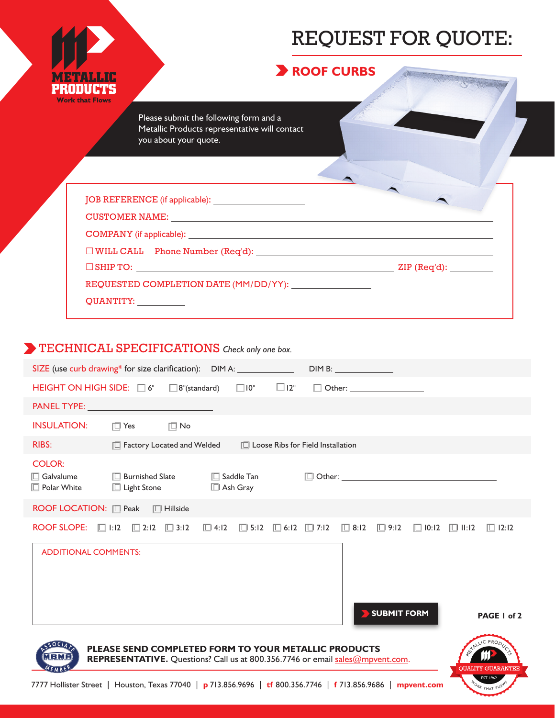## REQUEST FOR QUOTE:

WORK THAT FLOWS EST. 1962



## **ROOF CURBS**

Please submit the following form and a Metallic Products representative will contact you about your quote.

JOB REFERENCE (if applicable): CUSTOMER NAME:

COMPANY (if applicable):

£WILL CALL Phone Number (Req'd):

 $\Box$  SHIP TO:  $\Box$ 

REQUESTED COMPLETION DATE (MM/DD/ YY):

QUANTITY:

## TECHNICAL SPECIFICATIONS *Check only one box.*

| SIZE (use curb drawing* for size clarification): DIM A: _______________                                                                                                                                                            |                                                                                                                                       |                     |                    |                                          |  | DIM B: Annual March 1999 |                             |              |              |                          |
|------------------------------------------------------------------------------------------------------------------------------------------------------------------------------------------------------------------------------------|---------------------------------------------------------------------------------------------------------------------------------------|---------------------|--------------------|------------------------------------------|--|--------------------------|-----------------------------|--------------|--------------|--------------------------|
| HEIGHT ON HIGH SIDE: $\Box$ 6"                                                                                                                                                                                                     |                                                                                                                                       | $\Box$ 8"(standard) | $\Box$ 10"         | $\Box$ 12"                               |  |                          | □ Other: __________________ |              |              |                          |
| <b>PANEL TYPE:</b> The contract of the contract of the contract of the contract of the contract of the contract of the contract of the contract of the contract of the contract of the contract of the contract of the contract of |                                                                                                                                       |                     |                    |                                          |  |                          |                             |              |              |                          |
| <b>INSULATION:</b>                                                                                                                                                                                                                 | $\Box$ Yes                                                                                                                            | $\Box$ No           |                    |                                          |  |                          |                             |              |              |                          |
| <b>RIBS:</b>                                                                                                                                                                                                                       | $\Box$ Factory Located and Welded                                                                                                     |                     |                    | $\Box$ Loose Ribs for Field Installation |  |                          |                             |              |              |                          |
| <b>COLOR:</b><br>$\Box$ Galvalume<br>$\square$ Polar White                                                                                                                                                                         | $\Box$ Burnished Slate $\Box$ Saddle Tan<br>$\Box$ Light Stone                                                                        |                     | $\square$ Ash Gray |                                          |  |                          |                             |              |              |                          |
| ROOF LOCATION: [ Peak   [ Hillside                                                                                                                                                                                                 |                                                                                                                                       |                     |                    |                                          |  |                          |                             |              |              |                          |
| <b>ROOF SLOPE:</b>                                                                                                                                                                                                                 | $\Box$ 1:12 $\Box$ 2:12 $\Box$ 3:12 $\Box$ 4:12 $\Box$ 5:12 $\Box$ 6:12 $\Box$ 7:12 $\Box$ 8:12 $\Box$ 9:12                           |                     |                    |                                          |  |                          |                             | $\Box$ 10:12 | $\Box$ II:12 | $\Box$ 12:12             |
| <b>ADDITIONAL COMMENTS:</b><br>SUBMIT FORM<br>PAGE I of 2                                                                                                                                                                          |                                                                                                                                       |                     |                    |                                          |  |                          |                             |              |              |                          |
| 50C12<br><b>ABMF</b><br>EMBE                                                                                                                                                                                                       | PLEASE SEND COMPLETED FORM TO YOUR METALLIC PRODUCTS<br>REPRESENTATIVE. Questions? Call us at 800.356.7746 or email sales@mpvent.com. |                     |                    |                                          |  |                          |                             |              |              | <b>OUALITY GUARANTEE</b> |